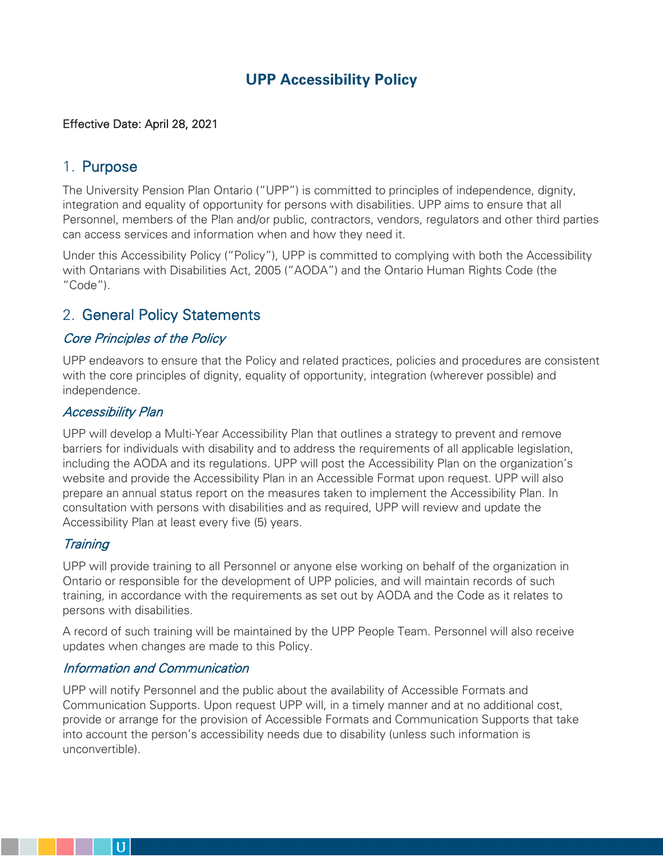# **UPP Accessibility Policy**

### Effective Date: April 28, 2021

# 1. Purpose

The University Pension Plan Ontario ("UPP") is committed to principles of independence, dignity, integration and equality of opportunity for persons with disabilities. UPP aims to ensure that all Personnel, members of the Plan and/or public, contractors, vendors, regulators and other third parties can access services and information when and how they need it.

Under this Accessibility Policy ("Policy"), UPP is committed to complying with both the Accessibility with Ontarians with Disabilities Act, 2005 ("AODA") and the Ontario Human Rights Code (the "Code").

# 2. General Policy Statements

# Core Principles of the Policy

UPP endeavors to ensure that the Policy and related practices, policies and procedures are consistent with the core principles of dignity, equality of opportunity, integration (wherever possible) and independence.

#### Accessibility Plan

UPP will develop a Multi-Year Accessibility Plan that outlines a strategy to prevent and remove barriers for individuals with disability and to address the requirements of all applicable legislation, including the AODA and its regulations. UPP will post the Accessibility Plan on the organization's website and provide the Accessibility Plan in an Accessible Format upon request. UPP will also prepare an annual status report on the measures taken to implement the Accessibility Plan. In consultation with persons with disabilities and as required, UPP will review and update the Accessibility Plan at least every five (5) years.

## **Training**

UPP will provide training to all Personnel or anyone else working on behalf of the organization in Ontario or responsible for the development of UPP policies, and will maintain records of such training, in accordance with the requirements as set out by AODA and the Code as it relates to persons with disabilities.

A record of such training will be maintained by the UPP People Team. Personnel will also receive updates when changes are made to this Policy.

## Information and Communication

UPP will notify Personnel and the public about the availability of Accessible Formats and Communication Supports. Upon request UPP will, in a timely manner and at no additional cost, provide or arrange for the provision of Accessible Formats and Communication Supports that take into account the person's accessibility needs due to disability (unless such information is unconvertible).

 $\mathbf{U}$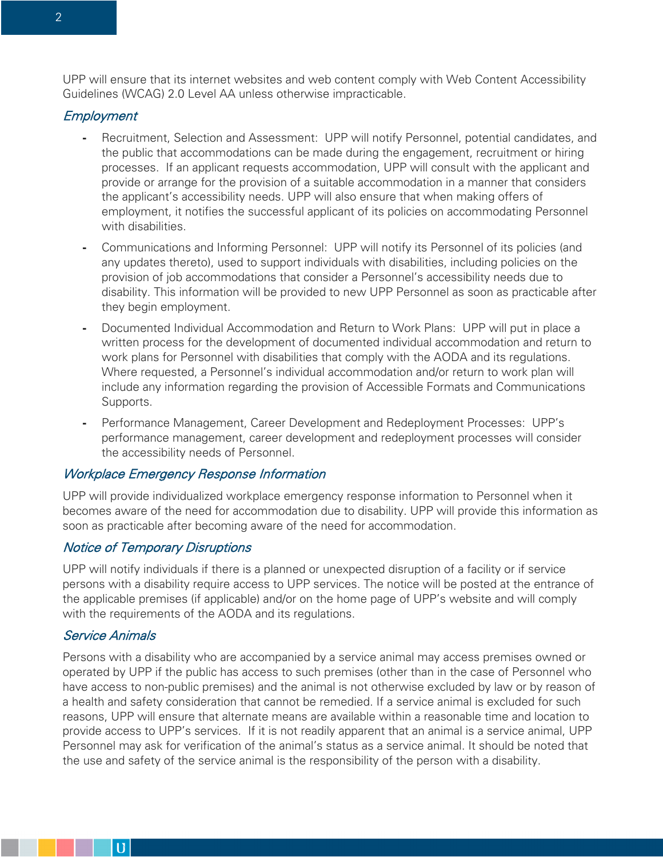UPP will ensure that its internet websites and web content comply with Web Content Accessibility Guidelines (WCAG) 2.0 Level AA unless otherwise impracticable.

#### **Employment**

- **-** Recruitment, Selection and Assessment: UPP will notify Personnel, potential candidates, and the public that accommodations can be made during the engagement, recruitment or hiring processes. If an applicant requests accommodation, UPP will consult with the applicant and provide or arrange for the provision of a suitable accommodation in a manner that considers the applicant's accessibility needs. UPP will also ensure that when making offers of employment, it notifies the successful applicant of its policies on accommodating Personnel with disabilities.
- **-** Communications and Informing Personnel: UPP will notify its Personnel of its policies (and any updates thereto), used to support individuals with disabilities, including policies on the provision of job accommodations that consider a Personnel's accessibility needs due to disability. This information will be provided to new UPP Personnel as soon as practicable after they begin employment.
- **-** Documented Individual Accommodation and Return to Work Plans: UPP will put in place a written process for the development of documented individual accommodation and return to work plans for Personnel with disabilities that comply with the AODA and its regulations. Where requested, a Personnel's individual accommodation and/or return to work plan will include any information regarding the provision of Accessible Formats and Communications Supports.
- **-** Performance Management, Career Development and Redeployment Processes: UPP's performance management, career development and redeployment processes will consider the accessibility needs of Personnel.

#### Workplace Emergency Response Information

UPP will provide individualized workplace emergency response information to Personnel when it becomes aware of the need for accommodation due to disability. UPP will provide this information as soon as practicable after becoming aware of the need for accommodation.

#### Notice of Temporary Disruptions

UPP will notify individuals if there is a planned or unexpected disruption of a facility or if service persons with a disability require access to UPP services. The notice will be posted at the entrance of the applicable premises (if applicable) and/or on the home page of UPP's website and will comply with the requirements of the AODA and its regulations.

#### Service Animals

 $\bf{U}$ 

Persons with a disability who are accompanied by a service animal may access premises owned or operated by UPP if the public has access to such premises (other than in the case of Personnel who have access to non-public premises) and the animal is not otherwise excluded by law or by reason of a health and safety consideration that cannot be remedied. If a service animal is excluded for such reasons, UPP will ensure that alternate means are available within a reasonable time and location to provide access to UPP's services. If it is not readily apparent that an animal is a service animal, UPP Personnel may ask for verification of the animal's status as a service animal. It should be noted that the use and safety of the service animal is the responsibility of the person with a disability.